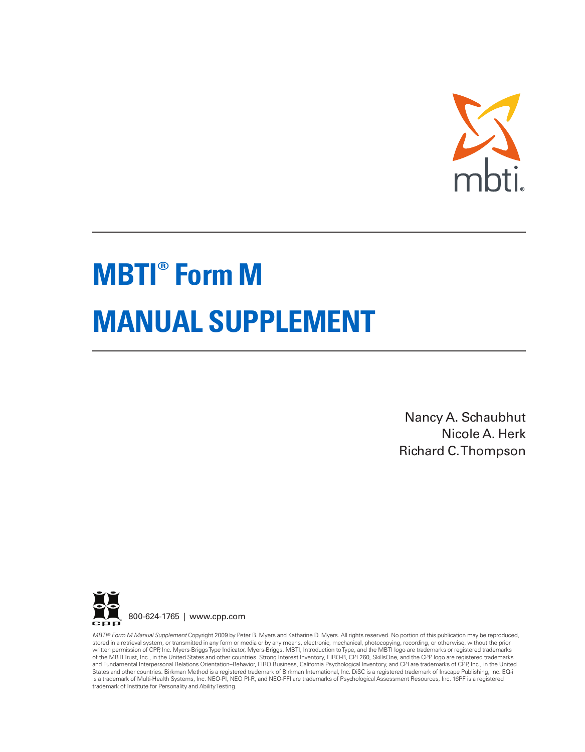

# **MBTI® Form M MANUAL SUPPLEMENT**

Nancy A. Schaubhut Nicole A. Herk Richard C.Thompson



MBT/® Form M Manual Supplement Copyright 2009 by Peter B. Myers and Katharine D. Myers. All rights reserved. No portion of this publication may be reproduced,<br>stored in a retrieval system, or transmitted in any form or med States and other countries. Birkman Method is a registered trademark of Birkman International, Inc. DiSC is a registered trademark of Inscape Publishing, Inc. EQ-i is a trademark of Multi-Health Systems, Inc. NEO-PI, NEO PI-R, and NEO-FFI are trademarks of Psychological Assessment Resources, Inc. 16PF is a registered trademark of Institute for Personality and AbilityTesting.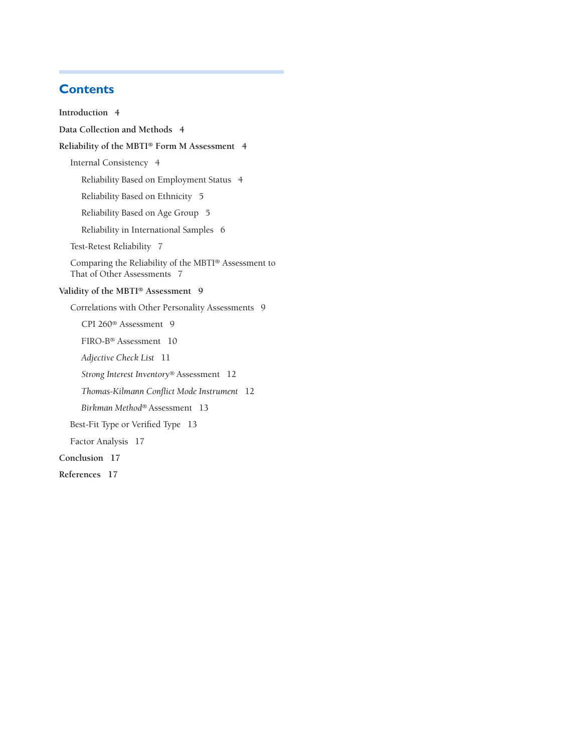# **Contents**

**Introduction 4**

**Data Collection and Methods 4**

### **Reliability of the MBTI® Form M Assessment 4**

Internal Consistency 4

Reliability Based on Employment Status 4

Reliability Based on Ethnicity 5

Reliability Based on Age Group 5

Reliability in International Samples 6

Test-Retest Reliability 7

Comparing the Reliability of the MBTI® Assessment to That of Other Assessments 7

#### **Validity of the MBTI® Assessment 9**

Correlations with Other Personality Assessments 9

CPI 260® Assessment 9

FIRO-B® Assessment 10

*Adjective Check List* 11

*Strong Interest Inventory*® Assessment 12

*Thomas-Kilmann Conflict Mode Instrument* 12

*Birkman Method*® Assessment 13

Best-Fit Type or Verified Type 13

Factor Analysis 17

**Conclusion 17**

**References 17**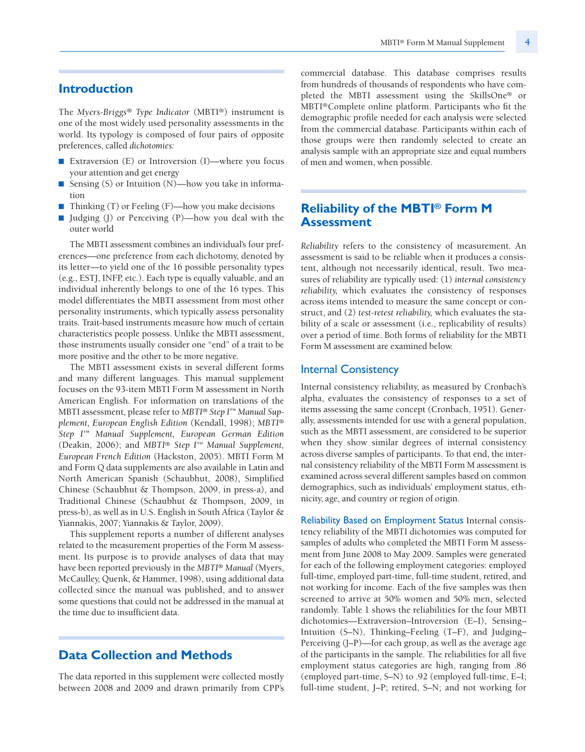## **Introduction**

The *Myers-Briggs® Type Indicator* (MBTI®) instrument is one of the most widely used personality assessments in the world. Its typology is composed of four pairs of opposite preferences, called *dichotomies:*

- Extraversion (E) or Introversion (I)—where you focus your attention and get energy
- Sensing (S) or Intuition (N)—how you take in information
- Thinking (T) or Feeling (F)—how you make decisions
- Judging (J) or Perceiving (P)—how you deal with the outer world

The MBTI assessment combines an individual's four preferences—one preference from each dichotomy, denoted by its letter—to yield one of the 16 possible personality types (e.g., ESTJ, INFP, etc.). Each type is equally valuable, and an individual inherently belongs to one of the 16 types. This model differentiates the MBTI assessment from most other personality instruments, which typically assess personality traits. Trait-based instruments measure how much of certain characteristics people possess. Unlike the MBTI assessment, those instruments usually consider one "end" of a trait to be more positive and the other to be more negative.

The MBTI assessment exists in several different forms and many different languages. This manual supplement focuses on the 93-item MBTI Form M assessment in North American English. For information on translations of the MBTI assessment, please refer to *MBTI® Step I™ Manual Supplement, European English Edition* (Kendall, 1998); *MBTI® Step I™ Manual Supplement, European German Edition* (Deakin, 2006); and *MBTI® Step I™ Manual Supplement, European French Edition* (Hackston, 2005). MBTI Form M and Form Q data supplements are also available in Latin and North American Spanish (Schaubhut, 2008), Simplified Chinese (Schaubhut & Thompson, 2009, in press-a), and Traditional Chinese (Schaubhut & Thompson, 2009, in press-b), as well as in U.S. English in South Africa (Taylor & Yiannakis, 2007; Yiannakis & Taylor, 2009).

This supplement reports a number of different analyses related to the measurement properties of the Form M assessment. Its purpose is to provide analyses of data that may have been reported previously in the *MBTI® Manual* (Myers, McCaulley, Quenk, & Hammer, 1998), using additional data collected since the manual was published, and to answer some questions that could not be addressed in the manual at the time due to insufficient data.

## **Data Collection and Methods**

The data reported in this supplement were collected mostly between 2008 and 2009 and drawn primarily from CPP's commercial database. This database comprises results from hundreds of thousands of respondents who have completed the MBTI assessment using the SkillsOne® or MBTI®Complete online platform. Participants who fit the demographic profile needed for each analysis were selected from the commercial database. Participants within each of those groups were then randomly selected to create an analysis sample with an appropriate size and equal numbers of men and women, when possible.

# **Reliability of the MBTI® Form M Assessment**

*Reliability* refers to the consistency of measurement. An assessment is said to be reliable when it produces a consistent, although not necessarily identical, result. Two measures of reliability are typically used: (1) *internal consistency reliability,* which evaluates the consistency of responses across items intended to measure the same concept or construct, and (2) *test-retest reliability,* which evaluates the stability of a scale or assessment (i.e., replicability of results) over a period of time. Both forms of reliability for the MBTI Form M assessment are examined below.

## Internal Consistency

Internal consistency reliability, as measured by Cronbach's alpha, evaluates the consistency of responses to a set of items assessing the same concept (Cronbach, 1951). Generally, assessments intended for use with a general population, such as the MBTI assessment, are considered to be superior when they show similar degrees of internal consistency across diverse samples of participants. To that end, the internal consistency reliability of the MBTI Form M assessment is examined across several different samples based on common demographics, such as individuals' employment status, ethnicity, age, and country or region of origin.

Reliability Based on Employment Status Internal consistency reliability of the MBTI dichotomies was computed for samples of adults who completed the MBTI Form M assessment from June 2008 to May 2009. Samples were generated for each of the following employment categories: employed full-time, employed part-time, full-time student, retired, and not working for income. Each of the five samples was then screened to arrive at 50% women and 50% men, selected randomly. Table 1 shows the reliabilities for the four MBTI dichotomies—Extraversion–Introversion (E–I), Sensing– Intuition (S–N), Thinking–Feeling (T–F), and Judging– Perceiving (J–P)—for each group, as well as the average age of the participants in the sample. The reliabilities for all five employment status categories are high, ranging from .86 (employed part-time, S–N) to .92 (employed full-time, E–I; full-time student, J–P; retired, S–N; and not working for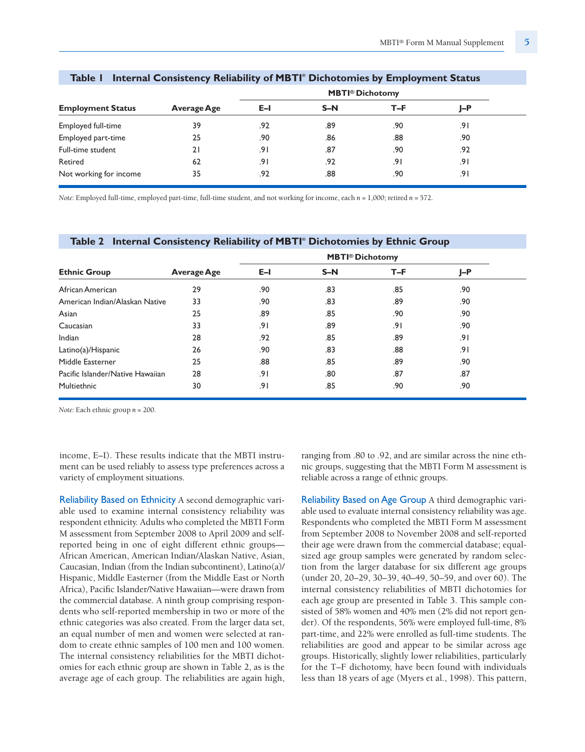|                          |                    |      | <b>MBTI®</b> Dichotomy |      |       |  |
|--------------------------|--------------------|------|------------------------|------|-------|--|
| <b>Employment Status</b> | <b>Average Age</b> | E-I  | $S-N$                  | T-F  | $I-P$ |  |
| Employed full-time       | 39                 | .92  | .89                    | .90  | 9۱.   |  |
| Employed part-time       | 25                 | .90  | .86                    | .88  | .90   |  |
| Full-time student        | 21                 | .91  | .87                    | .90  | .92   |  |
| Retired                  | 62                 | ا 9. | .92                    | ا 9. | .91   |  |
| Not working for income   | 35                 | .92  | .88                    | .90  | 9۱.   |  |

#### **Table 1 Internal Consistency Reliability of MBTI® Dichotomies by Employment Status**

*Note:* Employed full-time, employed part-time, full-time student, and not working for income, each *n* = 1,000; retired *n* = 572.

# **MBTI® Dichotomy Ethnic Group Average Age E–I S–N T–F J–P** African American 29 .90 .83 .85 .90 American Indian/Alaskan Native 33 .83 .83 .89 .90 Asian 25 .89 .85 .90 .90 Caucasian 33 .91 .89 .91 .90 Indian 28 .92 .85 .89 .91 Latino(a)/Hispanic 26 .90 .83 .88 .91 Middle Easterner 25 .88 .85 .89 .90 Pacific Islander/Native Hawaiian 28 .91 .80 .87 .87 .87 .87 Multiethnic 30 .91 .85 .90 .90

**Table 2 Internal Consistency Reliability of MBTI® Dichotomies by Ethnic Group**

*Note:* Each ethnic group *n* = 200.

income, E–I). These results indicate that the MBTI instrument can be used reliably to assess type preferences across a variety of employment situations.

Reliability Based on Ethnicity A second demographic variable used to examine internal consistency reliability was respondent ethnicity. Adults who completed the MBTI Form M assessment from September 2008 to April 2009 and selfreported being in one of eight different ethnic groups— African American, American Indian/Alaskan Native, Asian, Caucasian, Indian (from the Indian subcontinent), Latino(a)/ Hispanic, Middle Easterner (from the Middle East or North Africa), Pacific Islander/Native Hawaiian—were drawn from the commercial database. A ninth group comprising respondents who self-reported membership in two or more of the ethnic categories was also created. From the larger data set, an equal number of men and women were selected at random to create ethnic samples of 100 men and 100 women. The internal consistency reliabilities for the MBTI dichotomies for each ethnic group are shown in Table 2, as is the average age of each group. The reliabilities are again high,

ranging from .80 to .92, and are similar across the nine ethnic groups, suggesting that the MBTI Form M assessment is reliable across a range of ethnic groups.

Reliability Based on Age Group A third demographic variable used to evaluate internal consistency reliability was age. Respondents who completed the MBTI Form M assessment from September 2008 to November 2008 and self-reported their age were drawn from the commercial database; equalsized age group samples were generated by random selection from the larger database for six different age groups (under 20, 20–29, 30–39, 40–49, 50–59, and over 60). The internal consistency reliabilities of MBTI dichotomies for each age group are presented in Table 3. This sample consisted of 58% women and 40% men (2% did not report gender). Of the respondents, 56% were employed full-time, 8% part-time, and 22% were enrolled as full-time students. The reliabilities are good and appear to be similar across age groups. Historically, slightly lower reliabilities, particularly for the T–F dichotomy, have been found with individuals less than 18 years of age (Myers et al., 1998). This pattern,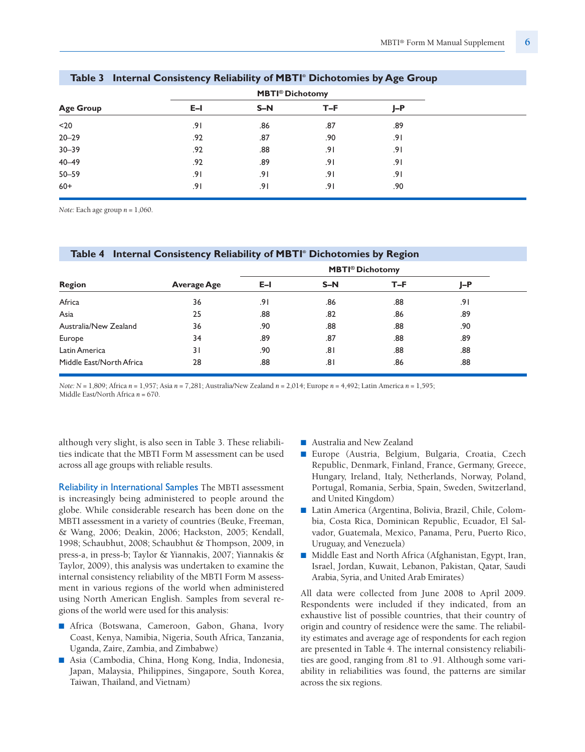|                  | <b>MBTI®</b> Dichotomy |       |     |       |  |  |
|------------------|------------------------|-------|-----|-------|--|--|
| <b>Age Group</b> | $E-I$                  | $S-N$ | T-F | $I-P$ |  |  |
| $20$             | .91                    | .86   | .87 | .89   |  |  |
| $20 - 29$        | .92                    | .87   | .90 | .91   |  |  |
| $30 - 39$        | .92                    | .88   | .91 | ا 9.  |  |  |
| $40 - 49$        | .92                    | .89   | .91 | ا 9.  |  |  |
| $50 - 59$        | .91                    | .91   | .91 | ا 9.  |  |  |
| $60+$            | .91                    | 9۱.   | .91 | .90   |  |  |

#### **Table 3 Internal Consistency Reliability of MBTI® Dichotomies by Age Group**

*Note:* Each age group *n* = 1,060.

| Table 4 Internal Consistency Reliability of MBTI® Dichotomies by Region |             |       |                                   |       |     |  |
|-------------------------------------------------------------------------|-------------|-------|-----------------------------------|-------|-----|--|
|                                                                         |             |       | <b>MBTI<sup>®</sup> Dichotomy</b> |       |     |  |
| <b>Region</b>                                                           | Average Age | $E-I$ | $S-N$                             | $T-F$ | J-P |  |
| Africa                                                                  | 36          | 9۱.   | .86                               | .88   | 9۱. |  |
| Asia                                                                    | 25          | .88   | .82                               | .86   | .89 |  |
| Australia/New Zealand                                                   | 36          | .90   | .88                               | .88   | .90 |  |
| Europe                                                                  | 34          | .89   | .87                               | .88   | .89 |  |
| Latin America                                                           | 31          | .90   | ا 8.                              | .88   | .88 |  |
| Middle East/North Africa                                                | 28          | .88   | ا 8.                              | .86   | .88 |  |

*Note: N* = 1,809; Africa *n* = 1,957; Asia *n* = 7,281; Australia/New Zealand *n* = 2,014; Europe *n* = 4,492; Latin America *n* = 1,595; Middle East/North Africa *n* = 670.

although very slight, is also seen in Table 3. These reliabilities indicate that the MBTI Form M assessment can be used across all age groups with reliable results.

Reliability in International Samples The MBTI assessment is increasingly being administered to people around the globe. While considerable research has been done on the MBTI assessment in a variety of countries (Beuke, Freeman, & Wang, 2006; Deakin, 2006; Hackston, 2005; Kendall, 1998; Schaubhut, 2008; Schaubhut & Thompson, 2009, in press-a, in press-b; Taylor & Yiannakis, 2007; Yiannakis & Taylor, 2009), this analysis was undertaken to examine the internal consistency reliability of the MBTI Form M assessment in various regions of the world when administered using North American English. Samples from several regions of the world were used for this analysis:

- Africa (Botswana, Cameroon, Gabon, Ghana, Ivory Coast, Kenya, Namibia, Nigeria, South Africa, Tanzania, Uganda, Zaire, Zambia, and Zimbabwe)
- Asia (Cambodia, China, Hong Kong, India, Indonesia, Japan, Malaysia, Philippines, Singapore, South Korea, Taiwan, Thailand, and Vietnam)
- Australia and New Zealand
- Europe (Austria, Belgium, Bulgaria, Croatia, Czech Republic, Denmark, Finland, France, Germany, Greece, Hungary, Ireland, Italy, Netherlands, Norway, Poland, Portugal, Romania, Serbia, Spain, Sweden, Switzerland, and United Kingdom)
- Latin America (Argentina, Bolivia, Brazil, Chile, Colombia, Costa Rica, Dominican Republic, Ecuador, El Salvador, Guatemala, Mexico, Panama, Peru, Puerto Rico, Uruguay, and Venezuela)
- Middle East and North Africa (Afghanistan, Egypt, Iran, Israel, Jordan, Kuwait, Lebanon, Pakistan, Qatar, Saudi Arabia, Syria, and United Arab Emirates)

All data were collected from June 2008 to April 2009. Respondents were included if they indicated, from an exhaustive list of possible countries, that their country of origin and country of residence were the same. The reliability estimates and average age of respondents for each region are presented in Table 4. The internal consistency reliabilities are good, ranging from .81 to .91. Although some variability in reliabilities was found, the patterns are similar across the six regions.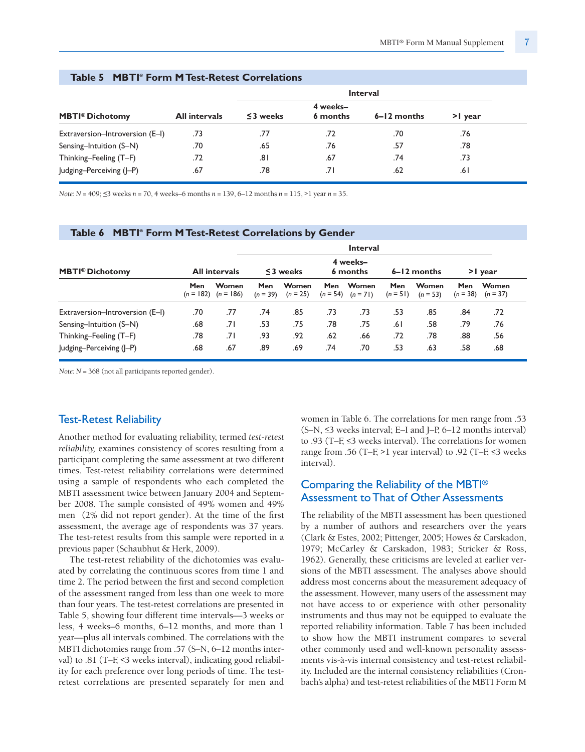|                                   |                      |                |                      | <b>Interval</b> |        |
|-----------------------------------|----------------------|----------------|----------------------|-----------------|--------|
| <b>MBTI<sup>®</sup> Dichotomy</b> | <b>All intervals</b> | $\leq$ 3 weeks | 4 weeks-<br>6 months | $6 - 12$ months | > vear |
| Extraversion-Introversion (E-I)   | .73                  | .77            | .72                  | .70             | .76    |
| Sensing-Intuition (S-N)           | .70                  | .65            | .76                  | .57             | .78    |
| Thinking-Feeling (T-F)            | .72                  | ا 8.           | .67                  | .74             | .73    |
| Judging-Perceiving (J-P)          | .67                  | .78            | .71                  | .62             | ا 6.   |

### **Table 5 MBTI® Form MTest-Retest Correlations**

*Note: N* = 409; <3 weeks *n* = 70, 4 weeks–6 months *n* = 139, 6–12 months *n* = 115, >1 year *n* = 35.

#### **Table 6 MBTI® Form M Test-Retest Correlations by Gender**

|                                 |                    |                      |                   |                     |                          | <b>Interval</b>      |                   |                     |                          |                     |
|---------------------------------|--------------------|----------------------|-------------------|---------------------|--------------------------|----------------------|-------------------|---------------------|--------------------------|---------------------|
| <b>MBTI®</b> Dichotomy          |                    | <b>All intervals</b> |                   | $\leq$ 3 weeks      |                          | 4 weeks-<br>6 months |                   | $6 - 12$ months     |                          | >I year             |
|                                 | Men<br>$(n = 182)$ | Women<br>$(n = 186)$ | Men<br>$(n = 39)$ | Women<br>$(n = 25)$ | <b>Men</b><br>$(n = 54)$ | Women<br>$(n = 71)$  | Men<br>$(n = 51)$ | Women<br>$(n = 53)$ | <b>Men</b><br>$(n = 38)$ | Women<br>$(n = 37)$ |
| Extraversion-Introversion (E-I) | .70                | .77                  | .74               | .85                 | .73                      | .73                  | .53               | .85                 | .84                      | .72                 |
| Sensing-Intuition (S-N)         | .68                | ا 7.                 | .53               | .75                 | .78                      | .75                  | ا 6.              | .58                 | .79                      | .76                 |
| Thinking-Feeling (T-F)          | .78                | .71                  | .93               | .92                 | .62                      | .66                  | .72               | .78                 | .88                      | .56                 |
| Judging-Perceiving (J-P)        | .68                | .67                  | .89               | .69                 | .74                      | .70                  | .53               | .63                 | .58                      | .68                 |

*Note: N* = 368 (not all participants reported gender).

## Test-Retest Reliability

Another method for evaluating reliability, termed *test-retest reliability,* examines consistency of scores resulting from a participant completing the same assessment at two different times. Test-retest reliability correlations were determined using a sample of respondents who each completed the MBTI assessment twice between January 2004 and September 2008. The sample consisted of 49% women and 49% men (2% did not report gender). At the time of the first assessment, the average age of respondents was 37 years. The test-retest results from this sample were reported in a previous paper (Schaubhut & Herk, 2009).

The test-retest reliability of the dichotomies was evaluated by correlating the continuous scores from time 1 and time 2. The period between the first and second completion of the assessment ranged from less than one week to more than four years. The test-retest correlations are presented in Table 5, showing four different time intervals—3 weeks or less, 4 weeks–6 months, 6–12 months, and more than 1 year—plus all intervals combined. The correlations with the MBTI dichotomies range from .57 (S-N, 6-12 months interval) to .81 (T–F,  $\leq$ 3 weeks interval), indicating good reliability for each preference over long periods of time. The testretest correlations are presented separately for men and women in Table 6. The correlations for men range from .53 (S–N, <3 weeks interval; E–I and J–P, 6–12 months interval) to .93 (T–F,  $\leq$ 3 weeks interval). The correlations for women range from .56 (T–F, >1 year interval) to .92 (T–F,  $\leq$ 3 weeks interval).

## Comparing the Reliability of the MBTI® Assessment toThat of Other Assessments

The reliability of the MBTI assessment has been questioned by a number of authors and researchers over the years (Clark & Estes, 2002; Pittenger, 2005; Howes & Carskadon, 1979; McCarley & Carskadon, 1983; Stricker & Ross, 1962). Generally, these criticisms are leveled at earlier versions of the MBTI assessment. The analyses above should address most concerns about the measurement adequacy of the assessment. However, many users of the assessment may not have access to or experience with other personality instruments and thus may not be equipped to evaluate the reported reliability information. Table 7 has been included to show how the MBTI instrument compares to several other commonly used and well-known personality assessments vis-à-vis internal consistency and test-retest reliability. Included are the internal consistency reliabilities (Cronbach's alpha) and test-retest reliabilities of the MBTI Form M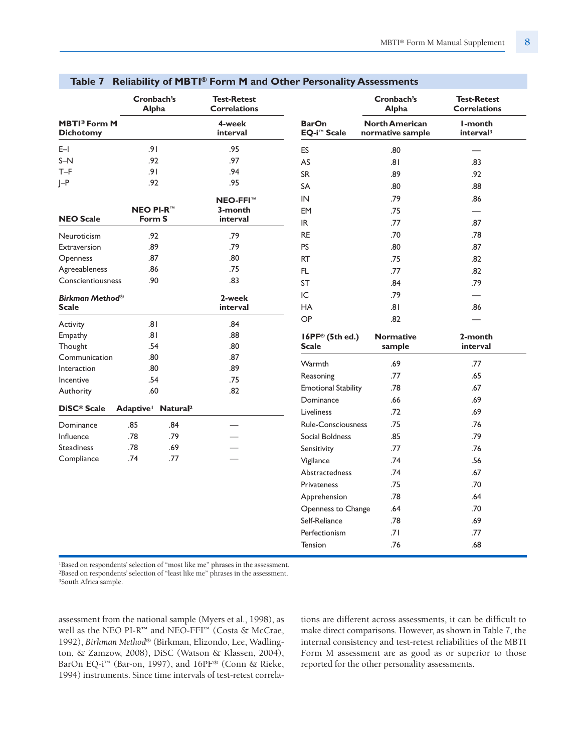|                                                    | Cronbach's<br><b>Alpha</b>                 |            | <b>Test-Retest</b><br><b>Correlations</b> |                                               |                  | Cronbach's<br><b>Alpha</b>                |
|----------------------------------------------------|--------------------------------------------|------------|-------------------------------------------|-----------------------------------------------|------------------|-------------------------------------------|
| <b>MBTI<sup>®</sup> Form M</b><br><b>Dichotomy</b> |                                            |            | 4-week<br>interval                        | <b>BarOn</b><br><b>EQ-i<sup>™</sup> Scale</b> |                  | <b>North American</b><br>normative sample |
|                                                    |                                            |            |                                           |                                               |                  |                                           |
| $E-1$                                              | .91                                        |            | .95                                       | ES                                            |                  | .80                                       |
| $S-N$                                              | .92                                        |            | .97                                       | AS                                            |                  | 8.                                        |
| $T-F$                                              | .91                                        |            | .94                                       | <b>SR</b>                                     |                  | .89                                       |
| $\vdash$ P                                         | .92                                        |            | .95                                       | <b>SA</b>                                     |                  | .80                                       |
|                                                    |                                            |            | <b>NEO-FFI™</b>                           | IN                                            |                  | .79                                       |
|                                                    | <b>NEO PI-R™</b>                           |            | 3-month                                   | <b>EM</b>                                     |                  | .75                                       |
| <b>NEO Scale</b>                                   | Form S                                     |            | interval                                  | IR.                                           |                  | .77                                       |
| Neuroticism                                        | .92                                        |            | .79                                       | <b>RE</b>                                     |                  | .70                                       |
| Extraversion                                       | .89                                        |            | .79                                       | <b>PS</b>                                     |                  | .80                                       |
| Openness                                           | .87                                        |            | .80                                       | <b>RT</b>                                     |                  | .75                                       |
| Agreeableness                                      | .86                                        |            | .75                                       | FL.                                           |                  | .77                                       |
| Conscientiousness                                  | .90                                        |            | .83                                       | <b>ST</b>                                     |                  | .84                                       |
|                                                    |                                            |            | 2-week                                    | IC                                            | .79              |                                           |
| <b>Birkman Method®</b><br><b>Scale</b>             |                                            |            | interval                                  | <b>HA</b>                                     | 8                |                                           |
|                                                    |                                            |            |                                           | OP                                            | .82              |                                           |
| Activity                                           | .81                                        |            | .84                                       |                                               |                  |                                           |
| Empathy                                            | .81                                        |            | .88                                       | 16PF® (5th ed.)                               | <b>Normative</b> |                                           |
| Thought                                            | .54                                        |            | .80                                       | <b>Scale</b>                                  | sample           |                                           |
| Communication                                      | .80                                        |            | .87                                       | Warmth                                        | .69              |                                           |
| Interaction                                        | .80                                        |            | .89                                       | Reasoning                                     | .77              |                                           |
| Incentive                                          | .54                                        |            | .75                                       | <b>Emotional Stability</b>                    | .78              |                                           |
| Authority                                          | .60                                        |            | .82                                       | Dominance                                     | .66              |                                           |
| DiSC <sup>®</sup> Scale                            | Adaptive <sup>1</sup> Natural <sup>2</sup> |            |                                           | Liveliness                                    | .72              |                                           |
|                                                    |                                            |            |                                           | <b>Rule-Consciousness</b>                     | .75              |                                           |
| Dominance                                          | .85                                        | .84<br>.79 |                                           |                                               |                  |                                           |
| Influence                                          | .78                                        |            |                                           | Social Boldness                               | .85              |                                           |
| <b>Steadiness</b>                                  | .78<br>.74                                 | .69<br>.77 |                                           | Sensitivity                                   | .77              |                                           |
| Compliance                                         |                                            |            |                                           | Vigilance                                     | .74              |                                           |
|                                                    |                                            |            |                                           | Abstractedness                                | .74              |                                           |
|                                                    |                                            |            |                                           | <b>Privateness</b>                            | .75              |                                           |
|                                                    |                                            |            |                                           | Apprehension                                  | .78              |                                           |
|                                                    |                                            |            |                                           | Openness to Change                            | .64              |                                           |
|                                                    |                                            |            |                                           | Self-Reliance                                 | .78              |                                           |
|                                                    |                                            |            |                                           | Perfectionism                                 | .71              |                                           |
|                                                    |                                            |            |                                           | <b>Tension</b>                                | .76              |                                           |

## **Table 7 Reliability of MBTI® Form M and Other Personality Assessments**

1Based on respondents' selection of "most like me" phrases in the assessment. 2Based on respondents' selection of "least like me" phrases in the assessment. 3South Africa sample.

assessment from the national sample (Myers et al., 1998), as well as the NEO PI-R™ and NEO-FFI™ (Costa & McCrae, 1992), *Birkman Method*® (Birkman, Elizondo, Lee, Wadlington, & Zamzow, 2008), DiSC (Watson & Klassen, 2004), BarOn EQ-i™ (Bar-on, 1997), and 16PF® (Conn & Rieke, 1994) instruments. Since time intervals of test-retest correlations are different across assessments, it can be difficult to make direct comparisons. However, as shown in Table 7, the internal consistency and test-retest reliabilities of the MBTI Form M assessment are as good as or superior to those reported for the other personality assessments.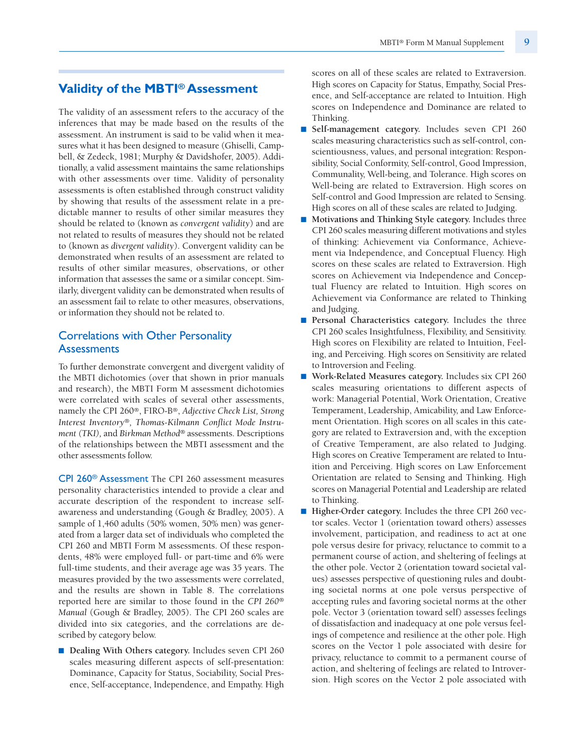## **Validity of the MBTI®Assessment**

The validity of an assessment refers to the accuracy of the inferences that may be made based on the results of the assessment. An instrument is said to be valid when it measures what it has been designed to measure (Ghiselli, Campbell, & Zedeck, 1981; Murphy & Davidshofer, 2005). Additionally, a valid assessment maintains the same relationships with other assessments over time. Validity of personality assessments is often established through construct validity by showing that results of the assessment relate in a predictable manner to results of other similar measures they should be related to (known as *convergent validity*) and are not related to results of measures they should not be related to (known as *divergent validity*). Convergent validity can be demonstrated when results of an assessment are related to results of other similar measures, observations, or other information that assesses the same or a similar concept. Similarly, divergent validity can be demonstrated when results of an assessment fail to relate to other measures, observations, or information they should not be related to.

# Correlations with Other Personality **Assessments**

To further demonstrate convergent and divergent validity of the MBTI dichotomies (over that shown in prior manuals and research), the MBTI Form M assessment dichotomies were correlated with scales of several other assessments, namely the CPI 260®, FIRO-B®, *Adjective Check List, Strong Interest Inventory®, Thomas-Kilmann Conflict Mode Instrument (TKI),* and *Birkman Method®* assessments. Descriptions of the relationships between the MBTI assessment and the other assessments follow.

CPI 260® Assessment The CPI 260 assessment measures personality characteristics intended to provide a clear and accurate description of the respondent to increase selfawareness and understanding (Gough & Bradley, 2005). A sample of 1,460 adults (50% women, 50% men) was generated from a larger data set of individuals who completed the CPI 260 and MBTI Form M assessments. Of these respondents, 48% were employed full- or part-time and 6% were full-time students, and their average age was 35 years. The measures provided by the two assessments were correlated, and the results are shown in Table 8. The correlations reported here are similar to those found in the *CPI 260® Manual* (Gough & Bradley, 2005). The CPI 260 scales are divided into six categories, and the correlations are described by category below.

■ **Dealing With Others category.** Includes seven CPI 260 scales measuring different aspects of self-presentation: Dominance, Capacity for Status, Sociability, Social Presence, Self-acceptance, Independence, and Empathy. High scores on all of these scales are related to Extraversion. High scores on Capacity for Status, Empathy, Social Presence, and Self-acceptance are related to Intuition. High scores on Independence and Dominance are related to Thinking.

- **Self-management category.** Includes seven CPI 260 scales measuring characteristics such as self-control, conscientiousness, values, and personal integration: Responsibility, Social Conformity, Self-control, Good Impression, Communality, Well-being, and Tolerance. High scores on Well-being are related to Extraversion. High scores on Self-control and Good Impression are related to Sensing. High scores on all of these scales are related to Judging.
- **Motivations and Thinking Style category.** Includes three CPI 260 scales measuring different motivations and styles of thinking: Achievement via Conformance, Achievement via Independence, and Conceptual Fluency. High scores on these scales are related to Extraversion. High scores on Achievement via Independence and Conceptual Fluency are related to Intuition. High scores on Achievement via Conformance are related to Thinking and Judging.
- **Personal Characteristics category.** Includes the three CPI 260 scales Insightfulness, Flexibility, and Sensitivity. High scores on Flexibility are related to Intuition, Feeling, and Perceiving. High scores on Sensitivity are related to Introversion and Feeling.
- Work-Related Measures category. Includes six CPI 260 scales measuring orientations to different aspects of work: Managerial Potential, Work Orientation, Creative Temperament, Leadership, Amicability, and Law Enforcement Orientation. High scores on all scales in this category are related to Extraversion and, with the exception of Creative Temperament, are also related to Judging. High scores on Creative Temperament are related to Intuition and Perceiving. High scores on Law Enforcement Orientation are related to Sensing and Thinking. High scores on Managerial Potential and Leadership are related to Thinking.
- **Higher-Order category**. Includes the three CPI 260 vector scales. Vector 1 (orientation toward others) assesses involvement, participation, and readiness to act at one pole versus desire for privacy, reluctance to commit to a permanent course of action, and sheltering of feelings at the other pole. Vector 2 (orientation toward societal values) assesses perspective of questioning rules and doubting societal norms at one pole versus perspective of accepting rules and favoring societal norms at the other pole. Vector 3 (orientation toward self) assesses feelings of dissatisfaction and inadequacy at one pole versus feelings of competence and resilience at the other pole. High scores on the Vector 1 pole associated with desire for privacy, reluctance to commit to a permanent course of action, and sheltering of feelings are related to Introversion. High scores on the Vector 2 pole associated with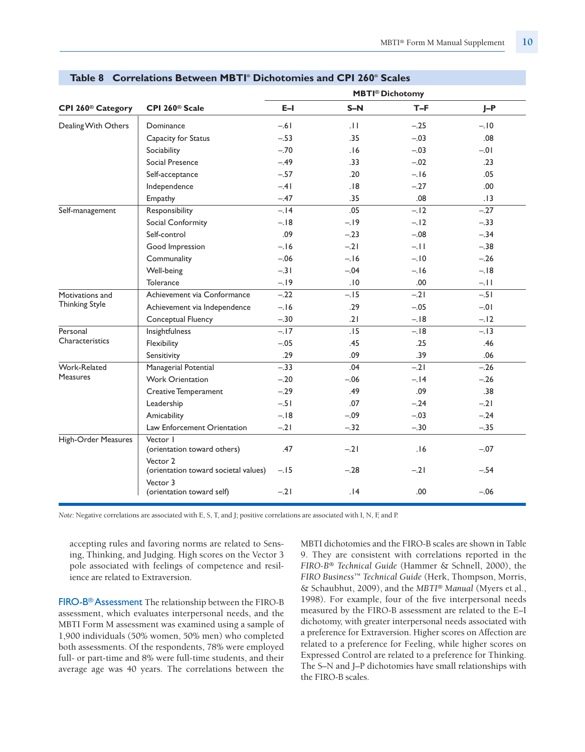|                               |                                                  |        | <b>MBTI®</b> Dichotomy |        |         |
|-------------------------------|--------------------------------------------------|--------|------------------------|--------|---------|
| CPI 260 <sup>®</sup> Category | CPI 260 <sup>®</sup> Scale                       | $E-I$  | $S-N$                  | $T-F$  | $J-P$   |
| Dealing With Others           | Dominance                                        | $-.61$ | .11                    | $-.25$ | $-.10$  |
|                               | Capacity for Status                              | $-.53$ | .35                    | $-.03$ | .08     |
|                               | Sociability                                      | $-.70$ | .16                    | $-.03$ | $-0.01$ |
|                               | Social Presence                                  | $-.49$ | .33                    | $-.02$ | .23     |
|                               | Self-acceptance                                  | $-.57$ | .20                    | $-.16$ | .05     |
|                               | Independence                                     | $-.41$ | .18                    | $-.27$ | .00.    |
|                               | Empathy                                          | $-.47$ | .35                    | .08    | .13     |
| Self-management               | Responsibility                                   | $-.14$ | .05                    | $-.12$ | $-.27$  |
|                               | Social Conformity                                | $-.18$ | $-.19$                 | $-.12$ | $-.33$  |
|                               | Self-control                                     | .09    | $-.23$                 | $-.08$ | $-.34$  |
|                               | Good Impression                                  | $-.16$ | $-.21$                 | $-11.$ | $-.38$  |
|                               | Communality                                      | $-.06$ | $-.16$                 | $-.10$ | $-.26$  |
|                               | Well-being                                       | $-.31$ | $-.04$                 | $-.16$ | $-.18$  |
|                               | Tolerance                                        | $-.19$ | .10                    | .00    | $-.11$  |
| Motivations and               | Achievement via Conformance                      | $-.22$ | $-.15$                 | $-21$  | $-.51$  |
| <b>Thinking Style</b>         | Achievement via Independence                     | $-.16$ | .29                    | $-.05$ | $-0.01$ |
|                               | Conceptual Fluency                               | $-.30$ | .21                    | $-.18$ | $-.12$  |
| Personal                      | Insightfulness                                   | $-.17$ | .15                    | $-.18$ | $-.13$  |
| Characteristics               | Flexibility                                      | $-.05$ | .45                    | .25    | .46     |
|                               | Sensitivity                                      | .29    | .09                    | .39    | .06     |
| Work-Related                  | Managerial Potential                             | $-.33$ | .04                    | $-.21$ | $-.26$  |
| <b>Measures</b>               | <b>Work Orientation</b>                          | $-.20$ | $-.06$                 | $-.14$ | $-.26$  |
|                               | <b>Creative Temperament</b>                      | $-.29$ | .49                    | .09    | .38     |
|                               | Leadership                                       | $-.51$ | .07                    | $-.24$ | $-21$   |
|                               | Amicability                                      | $-.18$ | $-.09$                 | $-.03$ | $-.24$  |
|                               | Law Enforcement Orientation                      | $-21$  | $-.32$                 | $-.30$ | $-.35$  |
| High-Order Measures           | Vector I<br>(orientation toward others)          | .47    | $-.21$                 | .16    | $-.07$  |
|                               | Vector 2<br>(orientation toward societal values) | $-.15$ | $-.28$                 | $-.21$ | $-.54$  |
|                               | Vector 3<br>(orientation toward self)            | $-.21$ | .14                    | .00    | $-.06$  |

#### **Table 8 Correlations Between MBTI® Dichotomies and CPI 260® Scales**

*Note:* Negative correlations are associated with E, S, T, and J; positive correlations are associated with I, N, F, and P.

accepting rules and favoring norms are related to Sensing, Thinking, and Judging. High scores on the Vector 3 pole associated with feelings of competence and resilience are related to Extraversion.

FIRO-B® Assessment The relationship between the FIRO-B assessment, which evaluates interpersonal needs, and the MBTI Form M assessment was examined using a sample of 1,900 individuals (50% women, 50% men) who completed both assessments. Of the respondents, 78% were employed full- or part-time and 8% were full-time students, and their average age was 40 years. The correlations between the MBTI dichotomies and the FIRO-B scales are shown in Table 9. They are consistent with correlations reported in the *FIRO-B® Technical Guide* (Hammer & Schnell, 2000), the *FIRO Business™ Technical Guide* (Herk, Thompson, Morris, & Schaubhut, 2009), and the *MBTI® Manual* (Myers et al., 1998). For example, four of the five interpersonal needs measured by the FIRO-B assessment are related to the E–I dichotomy, with greater interpersonal needs associated with a preference for Extraversion. Higher scores on Affection are related to a preference for Feeling, while higher scores on Expressed Control are related to a preference for Thinking. The S–N and J–P dichotomies have small relationships with the FIRO-B scales.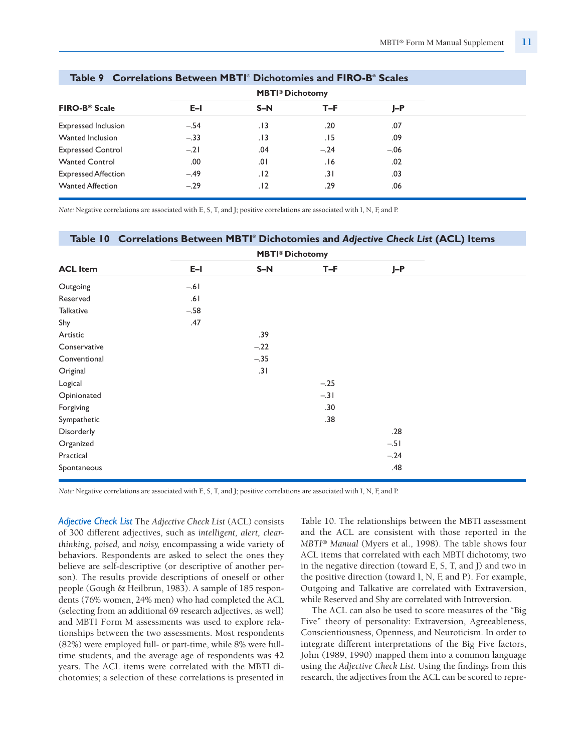|                                 |        | <b>MBTI®</b> Dichotomy |        |        |
|---------------------------------|--------|------------------------|--------|--------|
| <b>FIRO-B<sup>®</sup> Scale</b> | E-L    | $S-N$                  | T-F    | J-P    |
| <b>Expressed Inclusion</b>      | $-.54$ | . 13                   | .20    | .07    |
| Wanted Inclusion                | $-.33$ | . I 3                  | .15    | .09    |
| <b>Expressed Control</b>        | $-.21$ | .04                    | $-.24$ | $-.06$ |
| <b>Wanted Control</b>           | .00    | .01                    | .16    | .02    |
| <b>Expressed Affection</b>      | $-.49$ | .12                    | .31    | .03    |
| <b>Wanted Affection</b>         | $-.29$ | .12                    | .29    | .06    |

#### **Table 9 Correlations Between MBTI® Dichotomies and FIRO-B® Scales**

*Note:* Negative correlations are associated with E, S, T, and J; positive correlations are associated with I, N, F, and P.

#### **Table 10 Correlations Between MBTI® Dichotomies and** *Adjective Check List* **(ACL) Items**

|                 |        | <b>MBTI®</b> Dichotomy |        |        |  |
|-----------------|--------|------------------------|--------|--------|--|
| <b>ACL Item</b> | $E-I$  | $S-N$                  | $T-F$  | $J-P$  |  |
| Outgoing        | $-.61$ |                        |        |        |  |
| Reserved        | .61    |                        |        |        |  |
| Talkative       | $-.58$ |                        |        |        |  |
| Shy             | .47    |                        |        |        |  |
| Artistic        |        | .39                    |        |        |  |
| Conservative    |        | $-.22$                 |        |        |  |
| Conventional    |        | $-.35$                 |        |        |  |
| Original        |        | .31                    |        |        |  |
| Logical         |        |                        | $-.25$ |        |  |
| Opinionated     |        |                        | $-.31$ |        |  |
| Forgiving       |        |                        | .30    |        |  |
| Sympathetic     |        |                        | .38    |        |  |
| Disorderly      |        |                        |        | .28    |  |
| Organized       |        |                        |        | $-.51$ |  |
| Practical       |        |                        |        | $-.24$ |  |
| Spontaneous     |        |                        |        | .48    |  |

*Note:* Negative correlations are associated with E, S, T, and J; positive correlations are associated with I, N, F, and P.

*Adjective Check List* The *Adjective Check List* (ACL) consists of 300 different adjectives, such as *intelligent, alert, clearthinking, poised,* and *noisy,* encompassing a wide variety of behaviors. Respondents are asked to select the ones they believe are self-descriptive (or descriptive of another person). The results provide descriptions of oneself or other people (Gough & Heilbrun, 1983). A sample of 185 respondents (76% women, 24% men) who had completed the ACL (selecting from an additional 69 research adjectives, as well) and MBTI Form M assessments was used to explore relationships between the two assessments. Most respondents (82%) were employed full- or part-time, while 8% were fulltime students, and the average age of respondents was 42 years. The ACL items were correlated with the MBTI dichotomies; a selection of these correlations is presented in

Table 10. The relationships between the MBTI assessment and the ACL are consistent with those reported in the *MBTI® Manual* (Myers et al., 1998). The table shows four ACL items that correlated with each MBTI dichotomy, two in the negative direction (toward E, S, T, and J) and two in the positive direction (toward I, N, F, and P). For example, Outgoing and Talkative are correlated with Extraversion, while Reserved and Shy are correlated with Introversion.

The ACL can also be used to score measures of the "Big Five" theory of personality: Extraversion, Agreeableness, Conscientiousness, Openness, and Neuroticism. In order to integrate different interpretations of the Big Five factors, John (1989, 1990) mapped them into a common language using the *Adjective Check List.* Using the findings from this research, the adjectives from the ACL can be scored to repre-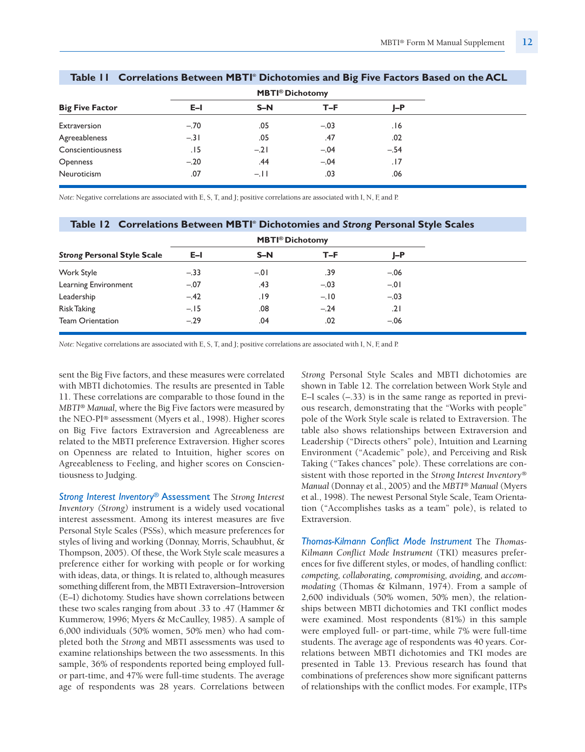|                        |        | <b>MBTI<sup>®</sup> Dichotomy</b> |        |        |  |
|------------------------|--------|-----------------------------------|--------|--------|--|
| <b>Big Five Factor</b> | $E-I$  | $S-N$                             | $T-F$  | J-P    |  |
| Extraversion           | $-.70$ | .05                               | $-.03$ | 16.    |  |
| Agreeableness          | $-.31$ | .05                               | .47    | .02    |  |
| Conscientiousness      | .15    | $-.21$                            | $-.04$ | $-.54$ |  |
| Openness               | $-.20$ | .44                               | $-.04$ | .17    |  |
| Neuroticism            | .07    | $-.11$                            | .03    | .06    |  |

## **Table 11 Correlations Between MBTI® Dichotomies and Big Five Factors Based on the ACL**

*Note:* Negative correlations are associated with E, S, T, and J; positive correlations are associated with I, N, F, and P.

#### **Table 12 Correlations Between MBTI® Dichotomies and** *Strong* **Personal Style Scales**

|                                    |        | <b>MBTI®</b> Dichotomy |        |        |
|------------------------------------|--------|------------------------|--------|--------|
| <b>Strong Personal Style Scale</b> | $E-I$  | $S-N$                  | $T-F$  | J-P    |
| Work Style                         | $-.33$ | $-.01$                 | .39    | $-.06$ |
| Learning Environment               | $-.07$ | .43                    | $-.03$ | $-.01$ |
| Leadership                         | $-.42$ | 19.                    | $-.10$ | $-.03$ |
| <b>Risk Taking</b>                 | $-.15$ | .08                    | $-.24$ | .21    |
| <b>Team Orientation</b>            | $-.29$ | .04                    | .02    | $-.06$ |

*Note:* Negative correlations are associated with E, S, T, and J; positive correlations are associated with I, N, F, and P.

sent the Big Five factors, and these measures were correlated with MBTI dichotomies. The results are presented in Table 11. These correlations are comparable to those found in the *MBTI® Manual,* where the Big Five factors were measured by the NEO-PI® assessment (Myers et al., 1998). Higher scores on Big Five factors Extraversion and Agreeableness are related to the MBTI preference Extraversion. Higher scores on Openness are related to Intuition, higher scores on Agreeableness to Feeling, and higher scores on Conscientiousness to Judging.

*Strong Interest Inventory*® Assessment The *Strong Interest Inventory (Strong)* instrument is a widely used vocational interest assessment. Among its interest measures are five Personal Style Scales (PSSs), which measure preferences for styles of living and working (Donnay, Morris, Schaubhut, & Thompson, 2005). Of these, the Work Style scale measures a preference either for working with people or for working with ideas, data, or things. It is related to, although measures something different from, the MBTI Extraversion–Introversion (E–I) dichotomy. Studies have shown correlations between these two scales ranging from about .33 to .47 (Hammer & Kummerow, 1996; Myers & McCaulley, 1985). A sample of 6,000 individuals (50% women, 50% men) who had completed both the *Strong* and MBTI assessments was used to examine relationships between the two assessments. In this sample, 36% of respondents reported being employed fullor part-time, and 47% were full-time students. The average age of respondents was 28 years. Correlations between

*Strong* Personal Style Scales and MBTI dichotomies are shown in Table 12. The correlation between Work Style and E–I scales (–.33) is in the same range as reported in previous research, demonstrating that the "Works with people" pole of the Work Style scale is related to Extraversion. The table also shows relationships between Extraversion and Leadership ("Directs others" pole), Intuition and Learning Environment ("Academic" pole), and Perceiving and Risk Taking ("Takes chances" pole). These correlations are consistent with those reported in the *Strong Interest Inventory*® *Manual* (Donnay et al., 2005) and the *MBTI® Manual* (Myers et al., 1998). The newest Personal Style Scale, Team Orientation ("Accomplishes tasks as a team" pole), is related to Extraversion.

*Thomas-Kilmann Conflict Mode Instrument* The *Thomas-Kilmann Conflict Mode Instrument* (TKI) measures preferences for five different styles, or modes, of handling conflict: *competing, collaborating, compromising, avoiding,* and *accommodating* (Thomas & Kilmann, 1974). From a sample of 2,600 individuals (50% women, 50% men), the relationships between MBTI dichotomies and TKI conflict modes were examined. Most respondents (81%) in this sample were employed full- or part-time, while 7% were full-time students. The average age of respondents was 40 years. Correlations between MBTI dichotomies and TKI modes are presented in Table 13. Previous research has found that combinations of preferences show more significant patterns of relationships with the conflict modes. For example, ITPs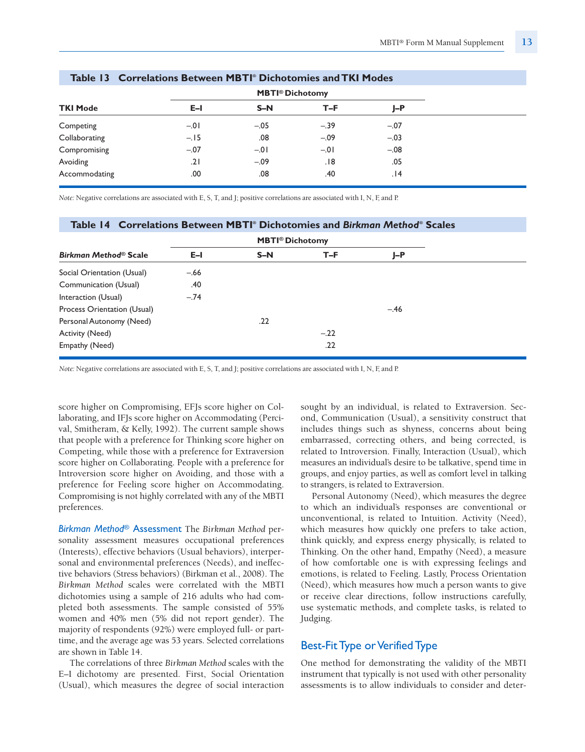|                 |         | <b>MBTI<sup>®</sup> Dichotomy</b> |        |        |  |  |  |
|-----------------|---------|-----------------------------------|--------|--------|--|--|--|
| <b>TKI Mode</b> | E-I     | $S-N$                             | T-F    | J-P    |  |  |  |
| Competing       | $-0.01$ | $-.05$                            | $-.39$ | $-.07$ |  |  |  |
| Collaborating   | $-.15$  | .08                               | $-.09$ | $-.03$ |  |  |  |
| Compromising    | $-.07$  | $-0.01$                           | $-.01$ | $-.08$ |  |  |  |
| Avoiding        | .21     | $-.09$                            | .18    | .05    |  |  |  |
| Accommodating   | .00     | .08                               | .40    | 14.    |  |  |  |

#### **Table 13 Correlations Between MBTI® Dichotomies and TKI Modes**

*Note:* Negative correlations are associated with E, S, T, and J; positive correlations are associated with I, N, F, and P.

#### **Table 14 Correlations Between MBTI® Dichotomies and** *Birkman Method***® Scales**

|                             |        | <b>MBTI®</b> Dichotomy |        |        |  |
|-----------------------------|--------|------------------------|--------|--------|--|
| Birkman Method® Scale       | $E-I$  | $S-N$                  | T-F    | J-P    |  |
| Social Orientation (Usual)  | $-.66$ |                        |        |        |  |
| Communication (Usual)       | .40    |                        |        |        |  |
| Interaction (Usual)         | $-.74$ |                        |        |        |  |
| Process Orientation (Usual) |        |                        |        | $-.46$ |  |
| Personal Autonomy (Need)    |        | .22                    |        |        |  |
| Activity (Need)             |        |                        | $-.22$ |        |  |
| Empathy (Need)              |        |                        | .22    |        |  |
|                             |        |                        |        |        |  |

*Note:* Negative correlations are associated with E, S, T, and J; positive correlations are associated with I, N, F, and P.

score higher on Compromising, EFJs score higher on Collaborating, and IFJs score higher on Accommodating (Percival, Smitheram, & Kelly, 1992). The current sample shows that people with a preference for Thinking score higher on Competing, while those with a preference for Extraversion score higher on Collaborating. People with a preference for Introversion score higher on Avoiding, and those with a preference for Feeling score higher on Accommodating. Compromising is not highly correlated with any of the MBTI preferences.

*Birkman Method®* Assessment The *Birkman Method* personality assessment measures occupational preferences (Interests), effective behaviors (Usual behaviors), interpersonal and environmental preferences (Needs), and ineffective behaviors (Stress behaviors) (Birkman et al., 2008). The *Birkman Method* scales were correlated with the MBTI dichotomies using a sample of 216 adults who had completed both assessments. The sample consisted of 55% women and 40% men (5% did not report gender). The majority of respondents (92%) were employed full- or parttime, and the average age was 53 years. Selected correlations are shown in Table 14.

The correlations of three *Birkman Method* scales with the E–I dichotomy are presented. First, Social Orientation (Usual), which measures the degree of social interaction sought by an individual, is related to Extraversion. Second, Communication (Usual), a sensitivity construct that includes things such as shyness, concerns about being embarrassed, correcting others, and being corrected, is related to Introversion. Finally, Interaction (Usual), which measures an individual's desire to be talkative, spend time in groups, and enjoy parties, as well as comfort level in talking to strangers, is related to Extraversion.

Personal Autonomy (Need), which measures the degree to which an individual's responses are conventional or unconventional, is related to Intuition. Activity (Need), which measures how quickly one prefers to take action, think quickly, and express energy physically, is related to Thinking. On the other hand, Empathy (Need), a measure of how comfortable one is with expressing feelings and emotions, is related to Feeling. Lastly, Process Orientation (Need), which measures how much a person wants to give or receive clear directions, follow instructions carefully, use systematic methods, and complete tasks, is related to Judging.

## Best-Fit Type or Verified Type

One method for demonstrating the validity of the MBTI instrument that typically is not used with other personality assessments is to allow individuals to consider and deter-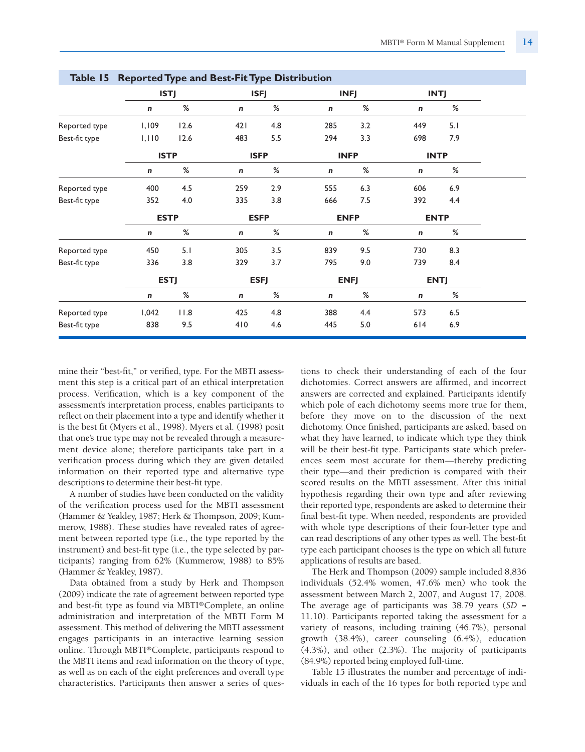|               | rable 15 Reported type and best-ric type Distribution |             |           |             |             |             |             |             |  |
|---------------|-------------------------------------------------------|-------------|-----------|-------------|-------------|-------------|-------------|-------------|--|
|               |                                                       | <b>ISTJ</b> |           | <b>ISFJ</b> |             | <b>INFJ</b> |             | <b>INTJ</b> |  |
|               | $\pmb{n}$                                             | %           | $\pmb{n}$ | %           | $\mathbf n$ | %           | n           | %           |  |
| Reported type | 1,109                                                 | 12.6        | 421       | 4.8         | 285         | 3.2         | 449         | 5.1         |  |
| Best-fit type | 1,110                                                 | 12.6        | 483       | 5.5         | 294         | 3.3         | 698         | 7.9         |  |
|               | <b>ISTP</b>                                           |             |           | <b>ISFP</b> |             | <b>INFP</b> |             | <b>INTP</b> |  |
|               | $\pmb{n}$                                             | %           | n         | %           | n           | %           | n           | %           |  |
| Reported type | 400                                                   | 4.5         | 259       | 2.9         | 555         | 6.3         | 606         | 6.9         |  |
| Best-fit type | 352                                                   | 4.0         | 335       | 3.8         | 666         | 7.5         | 392         | 4.4         |  |
|               | <b>ESTP</b>                                           |             |           | <b>ESFP</b> |             | <b>ENFP</b> |             | <b>ENTP</b> |  |
|               | $\mathbf n$                                           | $\%$        | n         | $\%$        | n           | $\%$        | n           | $\%$        |  |
| Reported type | 450                                                   | 5.1         | 305       | 3.5         | 839         | 9.5         | 730         | 8.3         |  |
| Best-fit type | 336                                                   | 3.8         | 329       | 3.7         | 795         | 9.0         | 739         | 8.4         |  |
|               |                                                       | <b>ESTJ</b> |           | <b>ESFJ</b> |             | <b>ENFJ</b> |             | <b>ENTJ</b> |  |
|               | $\mathbf n$                                           | $\%$        | n         | %           | n           | $\%$        | $\mathbf n$ | $\%$        |  |
| Reported type | 1,042                                                 | 11.8        | 425       | 4.8         | 388         | 4.4         | 573         | $6.5\,$     |  |
| Best-fit type | 838                                                   | 9.5         | 410       | 4.6         | 445         | 5.0         | 614         | 6.9         |  |
|               |                                                       |             |           |             |             |             |             |             |  |

**Table 15 Reported Type and Best-Fit Type Distribution** 

mine their "best-fit," or verified, type. For the MBTI assessment this step is a critical part of an ethical interpretation process. Verification, which is a key component of the assessment's interpretation process, enables participants to reflect on their placement into a type and identify whether it is the best fit (Myers et al., 1998). Myers et al. (1998) posit that one's true type may not be revealed through a measurement device alone; therefore participants take part in a verification process during which they are given detailed information on their reported type and alternative type descriptions to determine their best-fit type.

A number of studies have been conducted on the validity of the verification process used for the MBTI assessment (Hammer & Yeakley, 1987; Herk & Thompson, 2009; Kummerow, 1988). These studies have revealed rates of agreement between reported type (i.e., the type reported by the instrument) and best-fit type (i.e., the type selected by participants) ranging from 62% (Kummerow, 1988) to 85% (Hammer & Yeakley, 1987).

Data obtained from a study by Herk and Thompson (2009) indicate the rate of agreement between reported type and best-fit type as found via MBTI®Complete, an online administration and interpretation of the MBTI Form M assessment. This method of delivering the MBTI assessment engages participants in an interactive learning session online. Through MBTI®Complete, participants respond to the MBTI items and read information on the theory of type, as well as on each of the eight preferences and overall type characteristics. Participants then answer a series of questions to check their understanding of each of the four dichotomies. Correct answers are affirmed, and incorrect answers are corrected and explained. Participants identify which pole of each dichotomy seems more true for them, before they move on to the discussion of the next dichotomy. Once finished, participants are asked, based on what they have learned, to indicate which type they think will be their best-fit type. Participants state which preferences seem most accurate for them—thereby predicting their type—and their prediction is compared with their scored results on the MBTI assessment. After this initial hypothesis regarding their own type and after reviewing their reported type, respondents are asked to determine their final best-fit type. When needed, respondents are provided with whole type descriptions of their four-letter type and can read descriptions of any other types as well. The best-fit type each participant chooses is the type on which all future applications of results are based.

The Herk and Thompson (2009) sample included 8,836 individuals (52.4% women, 47.6% men) who took the assessment between March 2, 2007, and August 17, 2008. The average age of participants was 38.79 years (*SD* = 11.10). Participants reported taking the assessment for a variety of reasons, including training (46.7%), personal growth (38.4%), career counseling (6.4%), education (4.3%), and other (2.3%). The majority of participants (84.9%) reported being employed full-time.

Table 15 illustrates the number and percentage of individuals in each of the 16 types for both reported type and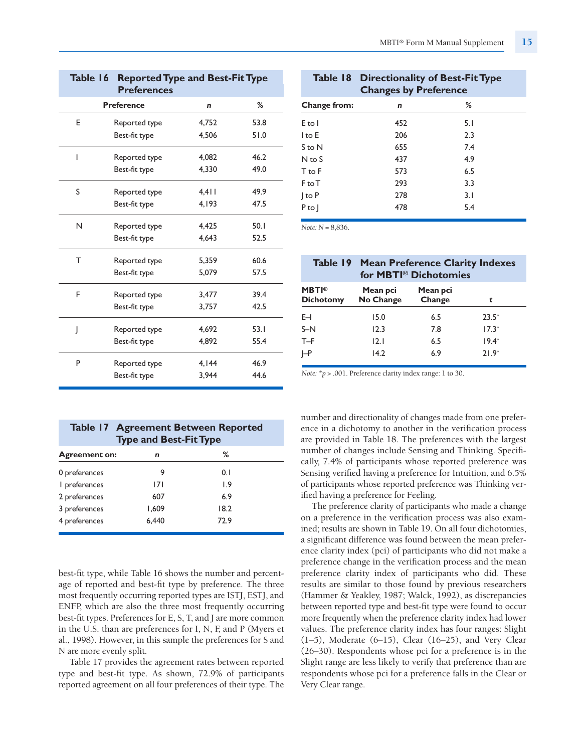| $\cdots$<br>l Supplement<br>anual<br>Form M | $MBTI^{\circledast}$ F |
|---------------------------------------------|------------------------|
|---------------------------------------------|------------------------|

| Table 16<br><b>Reported Type and Best-Fit Type</b><br><b>Preferences</b> |                   |       |      |  |  |  |  |
|--------------------------------------------------------------------------|-------------------|-------|------|--|--|--|--|
|                                                                          | <b>Preference</b> | n     | %    |  |  |  |  |
| E                                                                        | Reported type     | 4,752 | 53.8 |  |  |  |  |
|                                                                          | Best-fit type     | 4,506 | 51.0 |  |  |  |  |
| I                                                                        | Reported type     | 4,082 | 46.2 |  |  |  |  |
|                                                                          | Best-fit type     | 4.330 | 49.0 |  |  |  |  |
| S                                                                        | Reported type     | 4,411 | 49.9 |  |  |  |  |
|                                                                          | Best-fit type     | 4,193 | 47.5 |  |  |  |  |
| N                                                                        | Reported type     | 4,425 | 50.1 |  |  |  |  |
|                                                                          | Best-fit type     | 4.643 | 52.5 |  |  |  |  |
| Т                                                                        | Reported type     | 5,359 | 60.6 |  |  |  |  |
|                                                                          | Best-fit type     | 5,079 | 57.5 |  |  |  |  |
| F                                                                        | Reported type     | 3,477 | 39.4 |  |  |  |  |
|                                                                          | Best-fit type     | 3,757 | 42.5 |  |  |  |  |
| J                                                                        | Reported type     | 4,692 | 53.1 |  |  |  |  |
|                                                                          | Best-fit type     | 4,892 | 55.4 |  |  |  |  |
| P                                                                        | Reported type     | 4,144 | 46.9 |  |  |  |  |
|                                                                          | Best-fit type     | 3.944 | 44.6 |  |  |  |  |

| <b>Table 17 Agreement Between Reported</b><br><b>Type and Best-Fit Type</b> |       |      |  |  |  |  |  |  |
|-----------------------------------------------------------------------------|-------|------|--|--|--|--|--|--|
| <b>Agreement on:</b>                                                        | n     | ℅    |  |  |  |  |  |  |
| 0 preferences                                                               | 9     | 0.1  |  |  |  |  |  |  |
| I preferences                                                               | 171   | 19   |  |  |  |  |  |  |
| 2 preferences                                                               | 607   | 6.9  |  |  |  |  |  |  |
| 3 preferences                                                               | 1,609 | 18.2 |  |  |  |  |  |  |
| 4 preferences                                                               | 6.440 | 72.9 |  |  |  |  |  |  |

best-fit type, while Table 16 shows the number and percentage of reported and best-fit type by preference. The three most frequently occurring reported types are ISTJ, ESTJ, and ENFP, which are also the three most frequently occurring best-fit types. Preferences for E, S, T, and J are more common in the U.S. than are preferences for I, N, F, and P (Myers et al., 1998). However, in this sample the preferences for S and N are more evenly split.

Table 17 provides the agreement rates between reported type and best-fit type. As shown, 72.9% of participants reported agreement on all four preferences of their type. The

|              | Table 18 Directionality of Best-Fit Type<br><b>Changes by Preference</b> |     |
|--------------|--------------------------------------------------------------------------|-----|
| Change from: | n                                                                        | %   |
| $E$ to $I$   | 452                                                                      | 5.1 |
| $\ln 5$      | 206                                                                      | 2.3 |
| S to N       | 655                                                                      | 7.4 |
| $N$ to S     | 437                                                                      | 4.9 |
| T to F       | 573                                                                      | 6.5 |
| F to T       | 293                                                                      | 3.3 |
| J to P       | 278                                                                      | 3.1 |
| $P$ to $ $   | 478                                                                      | 5.4 |

*Note: N* = 8,836.

|                                  | Table 19 Mean Preference Clarity Indexes<br>for MBTI <sup>®</sup> Dichotomies |                    |         |  |  |  |  |
|----------------------------------|-------------------------------------------------------------------------------|--------------------|---------|--|--|--|--|
| <b>MBTI®</b><br><b>Dichotomy</b> | Mean pci<br>No Change                                                         | Mean pci<br>Change | t       |  |  |  |  |
| $E-I$                            | 15.0                                                                          | 6.5                | $23.5*$ |  |  |  |  |
| $S-N$                            | 12.3                                                                          | 7.8                | $17.3*$ |  |  |  |  |
| T-F                              | 12.1                                                                          | 6.5                | $19.4*$ |  |  |  |  |
| I-P                              | 14.2                                                                          | 6.9                | $21.9*$ |  |  |  |  |

*Note: \*p* > .001. Preference clarity index range: 1 to 30.

number and directionality of changes made from one preference in a dichotomy to another in the verification process are provided in Table 18. The preferences with the largest number of changes include Sensing and Thinking. Specifically, 7.4% of participants whose reported preference was Sensing verified having a preference for Intuition, and 6.5% of participants whose reported preference was Thinking verified having a preference for Feeling.

The preference clarity of participants who made a change on a preference in the verification process was also examined; results are shown in Table 19. On all four dichotomies, a significant difference was found between the mean preference clarity index (pci) of participants who did not make a preference change in the verification process and the mean preference clarity index of participants who did. These results are similar to those found by previous researchers (Hammer & Yeakley, 1987; Walck, 1992), as discrepancies between reported type and best-fit type were found to occur more frequently when the preference clarity index had lower values. The preference clarity index has four ranges: Slight (1–5), Moderate (6–15), Clear (16–25), and Very Clear (26–30). Respondents whose pci for a preference is in the Slight range are less likely to verify that preference than are respondents whose pci for a preference falls in the Clear or Very Clear range.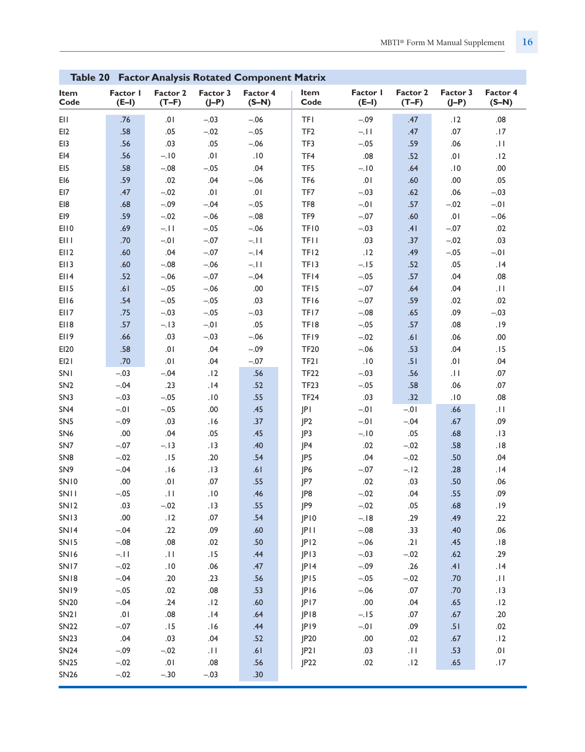| Table 20 Factor Analysis Rotated Component Matrix |                     |                     |                     |                     |                   |                     |                     |                     |                     |
|---------------------------------------------------|---------------------|---------------------|---------------------|---------------------|-------------------|---------------------|---------------------|---------------------|---------------------|
| Item<br>Code                                      | Factor I<br>$(E-I)$ | Factor 2<br>$(T-F)$ | Factor 3<br>$(I-P)$ | Factor 4<br>$(S-N)$ | Item<br>Code      | Factor I<br>$(E-I)$ | Factor 2<br>$(T-F)$ | Factor 3<br>$(J-P)$ | Factor 4<br>$(S-N)$ |
| EII                                               | .76                 | .01                 | $-.03$              | $-.06$              | <b>TFI</b>        | $-.09$              | .47                 | .12                 | .08                 |
| EI <sub>2</sub>                                   | .58                 | .05                 | $-.02$              | $-.05$              | TF <sub>2</sub>   | $-.11$              | .47                 | .07                 | .17                 |
| EI3                                               | .56                 | .03                 | .05                 | $-.06$              | TF3               | $-.05$              | .59                 | .06                 | $\vert \, \vert \,$ |
| E14                                               | .56                 | $-.10$              | .01                 | .10                 | TF4               | .08                 | .52                 | .01                 | .12                 |
| EI5                                               | .58                 | $-.08$              | $-.05$              | .04                 | TF5               | $-.10$              | .64                 | .10                 | .00.                |
| EI6                                               | .59                 | .02                 | .04                 | $-.06$              | TF6               | .01                 | .60                 | .00                 | .05                 |
| EI7                                               | .47                 | $-.02$              | .01                 | .01                 | TF7               | $-.03$              | .62                 | .06                 | $-.03$              |
| EI8                                               | .68                 | $-.09$              | $-.04$              | $-.05$              | TF8               | $-0.01$             | .57                 | $-.02$              | $-0.01$             |
| EI9                                               | .59                 | $-.02$              | $-.06$              | $-.08$              | TF <sub>9</sub>   | $-.07$              | .60                 | $10.$               | $-.06$              |
| EI10                                              | .69                 | $-.11$              | $-.05$              | $-.06$              | TF10              | $-.03$              | .41                 | $-.07$              | .02                 |
| EII I                                             | .70                 | $-.01$              | $-.07$              | $-.11$              | <b>TFII</b>       | .03                 | .37                 | $-.02$              | .03                 |
| EII2                                              | .60                 | .04                 | $-.07$              | $-.14$              | TF12              | .12                 | .49                 | $-.05$              | $-0.0$              |
| E113                                              | .60                 | $-.08$              | $-.06$              | $-.11$              | TF13              | $-.15$              | .52                 | .05                 | .14                 |
| EII4                                              | .52                 | $-.06$              | $-.07$              | $-.04$              | TF14              | $-.05$              | .57                 | .04                 | .08                 |
| EII <sub>5</sub>                                  | .61                 | $-.05$              | $-.06$              | .00                 | TF <sub>15</sub>  | $-.07$              | .64                 | .04                 | .11                 |
| EII6                                              | .54                 | $-.05$              | $-.05$              | .03                 | TF16              | $-.07$              | .59                 | .02                 | .02                 |
| EII7                                              | .75                 | $-.03$              | $-.05$              | $-.03$              | TF17              | $-.08$              | .65                 | .09                 | $-.03$              |
| EI18                                              | .57                 | $-.13$              | $-.01$              | .05                 | TF18              | $-.05$              | .57                 | .08                 | .19                 |
| EI19                                              | .66                 | .03                 | $-.03$              | $-.06$              | TF19              | $-.02$              | .61                 | .06                 | .00.                |
| EI20                                              | .58                 | .01                 | .04                 | $-.09$              | <b>TF20</b>       | $-.06$              | .53                 | .04                 | .15                 |
| E121                                              | .70                 | .01                 | .04                 | $-.07$              | TF <sub>2</sub> I | .10                 | .51                 | .01                 | .04                 |
| SNI                                               | $-.03$              | $-.04$              | .12                 | .56                 | <b>TF22</b>       | $-.03$              | .56                 | $\pm$               | .07                 |
| SN <sub>2</sub>                                   | $-.04$              | .23                 | .14                 | .52                 | <b>TF23</b>       | $-.05$              | .58                 | .06                 | .07                 |
| SN <sub>3</sub>                                   | $-.03$              | $-.05$              | .10                 | .55                 | <b>TF24</b>       | .03                 | .32                 | .10                 | .08                 |
| SN <sub>4</sub>                                   | $-.01$              | $-.05$              | .00                 | .45                 | JPI               | $-0.01$             | $-0.01$             | .66                 | $  \cdot  $         |
| SN <sub>5</sub>                                   | $-.09$              | .03                 | .16                 | .37                 | P2                | $-0.01$             | $-.04$              | .67                 | .09                 |
| SN <sub>6</sub>                                   | .00                 | .04                 | .05                 | .45                 | JP3               | $-.10$              | .05                 | .68                 | .13                 |
| SN7                                               | $-.07$              | $-.13$              | .13                 | .40                 | JP4               | .02                 | $-.02$              | .58                 | .18                 |
| SN <sub>8</sub>                                   | $-.02$              | .15                 | .20                 | .54                 | JP5               | .04                 | $-.02$              | .50                 | .04                 |
| SN <sub>9</sub>                                   | $-.04$              | .16                 | .13                 | .61                 | JP6               | $-.07$              | $-.12$              | .28                 | .14                 |
| SN10                                              | .00                 | $.01$               | .07                 | .55                 | JP7               | .02                 | .03                 | .50                 | .06                 |
| <b>SNII</b>                                       | $-.05$              | $\vert \vert$       | .10                 | .46                 | JP8               | $-.02$              | .04                 | .55                 | .09                 |
| SN12                                              | .03                 | $-.02$              | .13                 | .55                 | JP9               | $-.02$              | .05                 | .68                 | .19                 |
| SN13                                              | .00                 | .12                 | .07                 | .54                 | JP10              | $-.18$              | .29                 | .49                 | .22                 |
| SN14                                              | $-.04$              | .22                 | .09                 | .60                 | JPII              | $-.08$              | .33                 | .40                 | $.06$               |
| SN <sub>15</sub>                                  | $-.08$              | .08                 | .02                 | .50                 | JPI2              | $-.06$              | .21                 | .45                 | .18                 |
| SN16                                              | $-.11$              | $\vert\,\vert$      | .15                 | .44                 | JPI3              | $-.03$              | $-.02$              | .62                 | .29                 |
| SN17                                              | $-.02$              | .10                 | .06                 | .47                 | JPI4              | $-.09$              | .26                 | .41                 |                     |
| SN18                                              | $-.04$              | .20                 | .23                 | .56                 | JPI5              | $-.05$              | $-.02$              | .70                 | 14.<br>$\cdot$ II   |
| SN <sub>19</sub>                                  |                     | .02                 |                     | .53                 | JP16              | $-.06$              | .07                 |                     |                     |
|                                                   | $-.05$<br>$-.04$    | .24                 | .08<br>.12          | .60                 |                   |                     |                     | .70                 | .13                 |
| <b>SN20</b>                                       |                     |                     |                     |                     | JPI7              | .00                 | .04                 | .65                 | .12                 |
| SN <sub>2</sub> 1                                 | .01                 | .08                 | .14                 | .64                 | JP18              | $-.15$              | .07                 | .67                 | .20                 |
| <b>SN22</b>                                       | $-.07$              | .15                 | .16                 | .44                 | JP19              | $-0.01$             | .09                 | .51                 | .02                 |
| <b>SN23</b>                                       | .04                 | .03                 | .04                 | .52                 | JP <sub>20</sub>  | .00                 | .02                 | .67                 | .12                 |
| <b>SN24</b>                                       | $-.09$              | $-.02$              | .11                 | .61                 | P2                | .03                 | $  \cdot  $         | .53                 | .01                 |
| <b>SN25</b>                                       | $-.02$              | $10.$               | .08                 | .56                 | JP22              | .02                 | .12                 | .65                 | .17                 |
| <b>SN26</b>                                       | $-.02$              | $-.30$              | $-.03$              | .30                 |                   |                     |                     |                     |                     |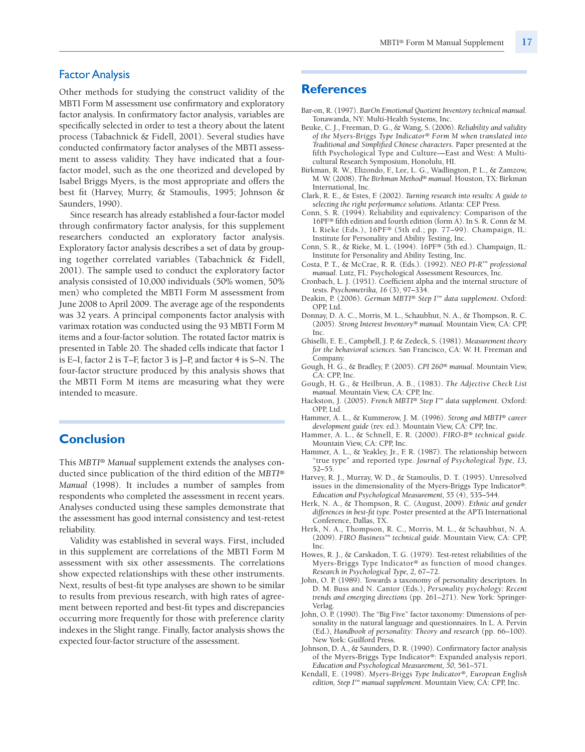## Factor Analysis

Other methods for studying the construct validity of the MBTI Form M assessment use confirmatory and exploratory factor analysis. In confirmatory factor analysis, variables are specifically selected in order to test a theory about the latent process (Tabachnick & Fidell, 2001). Several studies have conducted confirmatory factor analyses of the MBTI assessment to assess validity. They have indicated that a fourfactor model, such as the one theorized and developed by Isabel Briggs Myers, is the most appropriate and offers the best fit (Harvey, Murry, & Stamoulis, 1995; Johnson & Saunders, 1990).

Since research has already established a four-factor model through confirmatory factor analysis, for this supplement researchers conducted an exploratory factor analysis. Exploratory factor analysis describes a set of data by grouping together correlated variables (Tabachnick & Fidell, 2001). The sample used to conduct the exploratory factor analysis consisted of 10,000 individuals (50% women, 50% men) who completed the MBTI Form M assessment from June 2008 to April 2009. The average age of the respondents was 32 years. A principal components factor analysis with varimax rotation was conducted using the 93 MBTI Form M items and a four-factor solution. The rotated factor matrix is presented in Table 20. The shaded cells indicate that factor 1 is E–I, factor 2 is T–F, factor 3 is J–P, and factor 4 is S–N. The four-factor structure produced by this analysis shows that the MBTI Form M items are measuring what they were intended to measure.

## **Conclusion**

This *MBTI® Manual* supplement extends the analyses conducted since publication of the third edition of the *MBTI® Manual* (1998). It includes a number of samples from respondents who completed the assessment in recent years. Analyses conducted using these samples demonstrate that the assessment has good internal consistency and test-retest reliability.

Validity was established in several ways. First, included in this supplement are correlations of the MBTI Form M assessment with six other assessments. The correlations show expected relationships with these other instruments. Next, results of best-fit type analyses are shown to be similar to results from previous research, with high rates of agreement between reported and best-fit types and discrepancies occurring more frequently for those with preference clarity indexes in the Slight range. Finally, factor analysis shows the expected four-factor structure of the assessment.

## **References**

- Bar-on, R. (1997). *BarOn Emotional Quotient Inventory technical manual.* Tonawanda, NY: Multi-Health Systems, Inc.
- Beuke, C. J., Freeman, D. G., & Wang, S. (2006). *Reliability and validity of the Myers-Briggs Type Indicator® Form M when translated into Traditional and Simplified Chinese characters*. Paper presented at the fifth Psychological Type and Culture—East and West: A Multicultural Research Symposium, Honolulu, HI.
- Birkman, R. W., Elizondo, F., Lee, L. G., Wadlington, P. L., & Zamzow, M. W. (2008). *The Birkman Method® manual*. Houston, TX: Birkman International, Inc.
- Clark, R. E., & Estes, F. (2002). *Turning research into results: A guide to selecting the right performance solutions.* Atlanta: CEP Press.
- Conn, S. R. (1994). Reliability and equivalency: Comparison of the 16PF*®* fifth edition and fourth edition (form A). In S. R. Conn & M. L Rieke (Eds.), 16PF*®* (5th ed.; pp. 77–99). Champaign, IL: Institute for Personality and Ability Testing, Inc.
- Conn, S. R., & Rieke, M. L. (1994). 16PF*®* (5th ed.). Champaign, IL: Institute for Personality and Ability Testing, Inc.
- Costa, P. T., & McCrae, R. R. (Eds.). (1992). *NEO PI-R™ professional manual.* Lutz, FL: Psychological Assessment Resources, Inc.
- Cronbach, L. J. (1951). Coefficient alpha and the internal structure of tests. *Psychometrika, 16* (3), 97–334.
- Deakin, P. (2006). *German MBTI® Step I™ data supplement*. Oxford: OPP, Ltd.
- Donnay, D. A. C., Morris, M. L., Schaubhut, N. A., & Thompson, R. C. (2005). *Strong Interest Inventory® manual.* Mountain View, CA: CPP, Inc.
- Ghiselli, E. E., Campbell, J. P, & Zedeck, S. (1981). *Measurement theory for the behavioral sciences.* San Francisco, CA: W. H. Freeman and Company.
- Gough, H. G., & Bradley, P. (2005). *CPI 260® manual*. Mountain View, CA: CPP, Inc.
- Gough, H. G., & Heilbrun, A. B., (1983). *The Adjective Check List manual.* Mountain View, CA: CPP, Inc.
- Hackston, J. (2005). *French MBTI® Step I™ data supplement.* Oxford: OPP, Ltd.
- Hammer, A. L., & Kummerow, J. M. (1996). *Strong and MBTI® career development guide* (rev. ed.). Mountain View, CA: CPP, Inc.
- Hammer, A. L., & Schnell, E. R. (2000). *FIRO-B® technical guide.* Mountain View, CA: CPP, Inc.
- Hammer, A. L., & Yeakley, Jr., F. R. (1987). The relationship between "true type" and reported type. *Journal of Psychological Type, 13,* 52–55.
- Harvey, R. J., Murray, W. D., & Stamoulis, D. T. (1995). Unresolved issues in the dimensionality of the Myers-Briggs Type Indicator*®*. *Education and Psychological Measurement, 55* (4), 535–544.
- Herk, N. A., & Thompson, R. C. (August, 2009). *Ethnic and gender differences in best-fit type.* Poster presented at the APTi International Conference, Dallas, TX.
- Herk, N. A., Thompson, R. C., Morris, M. L., & Schaubhut, N. A. (2009). *FIRO Business™ technical guide.* Mountain View, CA: CPP, Inc.
- Howes, R. J., & Carskadon, T. G. (1979). Test-retest reliabilities of the Myers-Briggs Type Indicator*®* as function of mood changes. *Research in Psychological Type, 2,* 67–72.
- John, O. P. (1989). Towards a taxonomy of personality descriptors. In D. M. Buss and N. Cantor (Eds.), *Personality psychology: Recent trends and emerging directions* (pp. 261–271). New York: Springer-Verlag.
- John, O. P. (1990). The "Big Five" factor taxonomy: Dimensions of personality in the natural language and questionnaires. In L. A. Pervin (Ed.), *Handbook of personality: Theory and research* (pp. 66–100). New York: Guilford Press.
- Johnson, D. A., & Saunders, D. R. (1990). Confirmatory factor analysis of the Myers-Briggs Type Indicator*®*: Expanded analysis report. *Education and Psychological Measurement, 50,* 561–571.
- Kendall, E. (1998). *Myers-Briggs Type Indicator®, European English edition, Step I™ manual supplement.* Mountain View, CA: CPP, Inc.